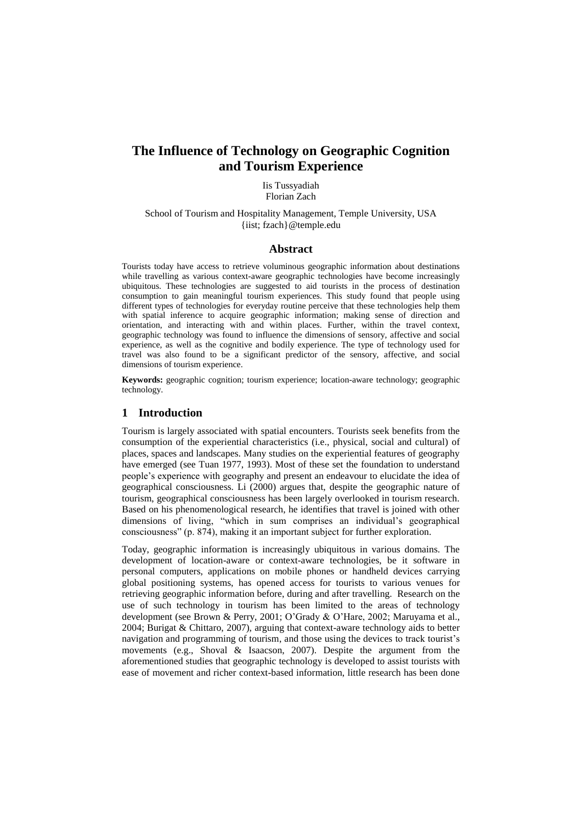# **The Influence of Technology on Geographic Cognition and Tourism Experience**

Iis Tussyadiah Florian Zach

School of Tourism and Hospitality Management, Temple University, USA {iist; fzach}@temple.edu

### **Abstract**

Tourists today have access to retrieve voluminous geographic information about destinations while travelling as various context-aware geographic technologies have become increasingly ubiquitous. These technologies are suggested to aid tourists in the process of destination consumption to gain meaningful tourism experiences. This study found that people using different types of technologies for everyday routine perceive that these technologies help them with spatial inference to acquire geographic information; making sense of direction and orientation, and interacting with and within places. Further, within the travel context, geographic technology was found to influence the dimensions of sensory, affective and social experience, as well as the cognitive and bodily experience. The type of technology used for travel was also found to be a significant predictor of the sensory, affective, and social dimensions of tourism experience.

**Keywords:** geographic cognition; tourism experience; location-aware technology; geographic technology.

## **1 Introduction**

Tourism is largely associated with spatial encounters. Tourists seek benefits from the consumption of the experiential characteristics (i.e., physical, social and cultural) of places, spaces and landscapes. Many studies on the experiential features of geography have emerged (see Tuan 1977, 1993). Most of these set the foundation to understand people"s experience with geography and present an endeavour to elucidate the idea of geographical consciousness. Li (2000) argues that, despite the geographic nature of tourism, geographical consciousness has been largely overlooked in tourism research. Based on his phenomenological research, he identifies that travel is joined with other dimensions of living, "which in sum comprises an individual"s geographical consciousness" (p. 874), making it an important subject for further exploration.

Today, geographic information is increasingly ubiquitous in various domains. The development of location-aware or context-aware technologies, be it software in personal computers, applications on mobile phones or handheld devices carrying global positioning systems, has opened access for tourists to various venues for retrieving geographic information before, during and after travelling. Research on the use of such technology in tourism has been limited to the areas of technology development (see Brown & Perry, 2001; O'Grady & O'Hare, 2002; Maruyama et al., 2004; Burigat & Chittaro, 2007), arguing that context-aware technology aids to better navigation and programming of tourism, and those using the devices to track tourist's movements (e.g., Shoval & Isaacson, 2007). Despite the argument from the aforementioned studies that geographic technology is developed to assist tourists with ease of movement and richer context-based information, little research has been done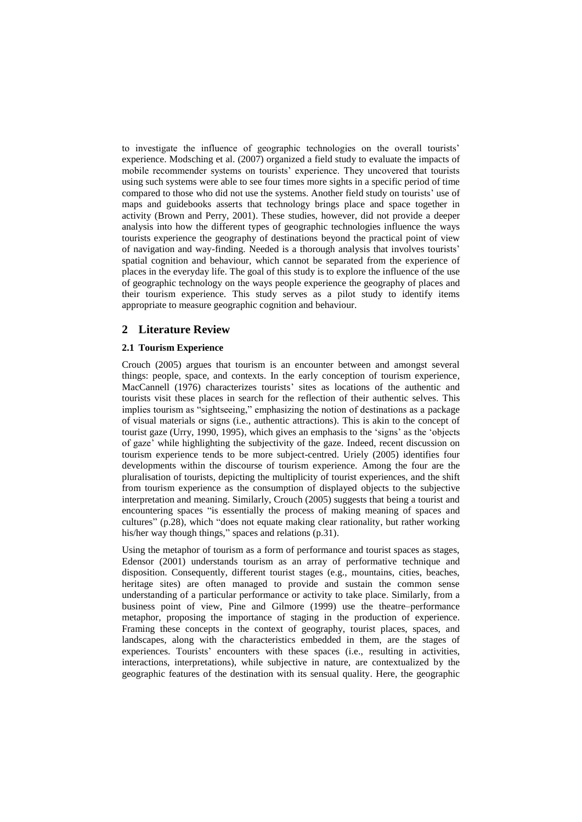to investigate the influence of geographic technologies on the overall tourists' experience. Modsching et al. (2007) organized a field study to evaluate the impacts of mobile recommender systems on tourists" experience. They uncovered that tourists using such systems were able to see four times more sights in a specific period of time compared to those who did not use the systems. Another field study on tourists" use of maps and guidebooks asserts that technology brings place and space together in activity (Brown and Perry, 2001). These studies, however, did not provide a deeper analysis into how the different types of geographic technologies influence the ways tourists experience the geography of destinations beyond the practical point of view of navigation and way-finding. Needed is a thorough analysis that involves tourists" spatial cognition and behaviour, which cannot be separated from the experience of places in the everyday life. The goal of this study is to explore the influence of the use of geographic technology on the ways people experience the geography of places and their tourism experience. This study serves as a pilot study to identify items appropriate to measure geographic cognition and behaviour.

# **2 Literature Review**

#### **2.1 Tourism Experience**

Crouch (2005) argues that tourism is an encounter between and amongst several things: people, space, and contexts. In the early conception of tourism experience, MacCannell (1976) characterizes tourists' sites as locations of the authentic and tourists visit these places in search for the reflection of their authentic selves. This implies tourism as "sightseeing," emphasizing the notion of destinations as a package of visual materials or signs (i.e., authentic attractions). This is akin to the concept of tourist gaze (Urry, 1990, 1995), which gives an emphasis to the "signs" as the "objects of gaze" while highlighting the subjectivity of the gaze. Indeed, recent discussion on tourism experience tends to be more subject-centred. Uriely (2005) identifies four developments within the discourse of tourism experience. Among the four are the pluralisation of tourists, depicting the multiplicity of tourist experiences, and the shift from tourism experience as the consumption of displayed objects to the subjective interpretation and meaning. Similarly, Crouch (2005) suggests that being a tourist and encountering spaces "is essentially the process of making meaning of spaces and cultures" (p.28), which "does not equate making clear rationality, but rather working his/her way though things," spaces and relations (p.31).

Using the metaphor of tourism as a form of performance and tourist spaces as stages, Edensor (2001) understands tourism as an array of performative technique and disposition. Consequently, different tourist stages (e.g., mountains, cities, beaches, heritage sites) are often managed to provide and sustain the common sense understanding of a particular performance or activity to take place. Similarly, from a business point of view, Pine and Gilmore (1999) use the theatre–performance metaphor, proposing the importance of staging in the production of experience. Framing these concepts in the context of geography, tourist places, spaces, and landscapes, along with the characteristics embedded in them, are the stages of experiences. Tourists' encounters with these spaces (i.e., resulting in activities, interactions, interpretations), while subjective in nature, are contextualized by the geographic features of the destination with its sensual quality. Here, the geographic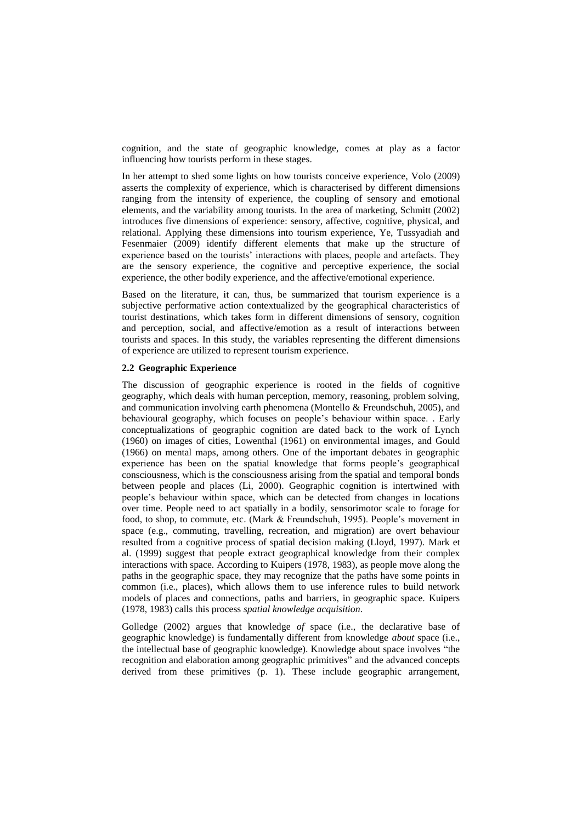cognition, and the state of geographic knowledge, comes at play as a factor influencing how tourists perform in these stages.

In her attempt to shed some lights on how tourists conceive experience, Volo (2009) asserts the complexity of experience, which is characterised by different dimensions ranging from the intensity of experience, the coupling of sensory and emotional elements, and the variability among tourists. In the area of marketing, Schmitt (2002) introduces five dimensions of experience: sensory, affective, cognitive, physical, and relational. Applying these dimensions into tourism experience, Ye, Tussyadiah and Fesenmaier (2009) identify different elements that make up the structure of experience based on the tourists' interactions with places, people and artefacts. They are the sensory experience, the cognitive and perceptive experience, the social experience, the other bodily experience, and the affective/emotional experience.

Based on the literature, it can, thus, be summarized that tourism experience is a subjective performative action contextualized by the geographical characteristics of tourist destinations, which takes form in different dimensions of sensory, cognition and perception, social, and affective/emotion as a result of interactions between tourists and spaces. In this study, the variables representing the different dimensions of experience are utilized to represent tourism experience.

## **2.2 Geographic Experience**

The discussion of geographic experience is rooted in the fields of cognitive geography, which deals with human perception, memory, reasoning, problem solving, and communication involving earth phenomena (Montello & Freundschuh, 2005), and behavioural geography, which focuses on people"s behaviour within space. . Early conceptualizations of geographic cognition are dated back to the work of Lynch (1960) on images of cities, Lowenthal (1961) on environmental images, and Gould (1966) on mental maps, among others. One of the important debates in geographic experience has been on the spatial knowledge that forms people"s geographical consciousness, which is the consciousness arising from the spatial and temporal bonds between people and places (Li, 2000). Geographic cognition is intertwined with people"s behaviour within space, which can be detected from changes in locations over time. People need to act spatially in a bodily, sensorimotor scale to forage for food, to shop, to commute, etc. (Mark & Freundschuh, 1995). People"s movement in space (e.g., commuting, travelling, recreation, and migration) are overt behaviour resulted from a cognitive process of spatial decision making (Lloyd, 1997). Mark et al. (1999) suggest that people extract geographical knowledge from their complex interactions with space. According to Kuipers (1978, 1983), as people move along the paths in the geographic space, they may recognize that the paths have some points in common (i.e., places), which allows them to use inference rules to build network models of places and connections, paths and barriers, in geographic space. Kuipers (1978, 1983) calls this process *spatial knowledge acquisition*.

Golledge (2002) argues that knowledge *of* space (i.e., the declarative base of geographic knowledge) is fundamentally different from knowledge *about* space (i.e., the intellectual base of geographic knowledge). Knowledge about space involves "the recognition and elaboration among geographic primitives" and the advanced concepts derived from these primitives (p. 1). These include geographic arrangement,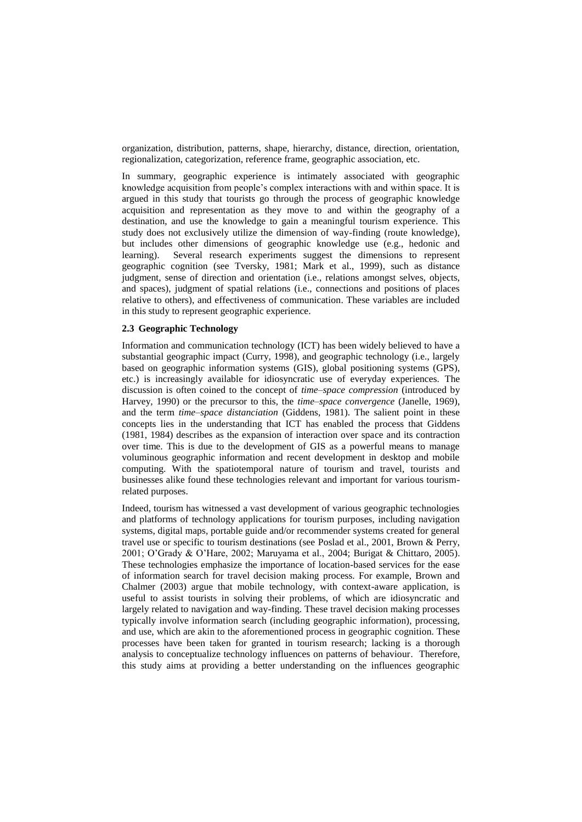organization, distribution, patterns, shape, hierarchy, distance, direction, orientation, regionalization, categorization, reference frame, geographic association, etc.

In summary, geographic experience is intimately associated with geographic knowledge acquisition from people"s complex interactions with and within space. It is argued in this study that tourists go through the process of geographic knowledge acquisition and representation as they move to and within the geography of a destination, and use the knowledge to gain a meaningful tourism experience. This study does not exclusively utilize the dimension of way-finding (route knowledge), but includes other dimensions of geographic knowledge use (e.g., hedonic and learning). Several research experiments suggest the dimensions to represent geographic cognition (see Tversky, 1981; Mark et al., 1999), such as distance judgment, sense of direction and orientation (i.e., relations amongst selves, objects, and spaces), judgment of spatial relations (i.e., connections and positions of places relative to others), and effectiveness of communication. These variables are included in this study to represent geographic experience.

#### **2.3 Geographic Technology**

Information and communication technology (ICT) has been widely believed to have a substantial geographic impact (Curry, 1998), and geographic technology (i.e., largely based on geographic information systems (GIS), global positioning systems (GPS), etc.) is increasingly available for idiosyncratic use of everyday experiences. The discussion is often coined to the concept of *time–space compression* (introduced by Harvey, 1990) or the precursor to this, the *time–space convergence* (Janelle, 1969), and the term *time–space distanciation* (Giddens, 1981). The salient point in these concepts lies in the understanding that ICT has enabled the process that Giddens (1981, 1984) describes as the expansion of interaction over space and its contraction over time. This is due to the development of GIS as a powerful means to manage voluminous geographic information and recent development in desktop and mobile computing. With the spatiotemporal nature of tourism and travel, tourists and businesses alike found these technologies relevant and important for various tourismrelated purposes.

Indeed, tourism has witnessed a vast development of various geographic technologies and platforms of technology applications for tourism purposes, including navigation systems, digital maps, portable guide and/or recommender systems created for general travel use or specific to tourism destinations (see Poslad et al., 2001, Brown & Perry, 2001; O"Grady & O"Hare, 2002; Maruyama et al., 2004; Burigat & Chittaro, 2005). These technologies emphasize the importance of location-based services for the ease of information search for travel decision making process. For example, Brown and Chalmer (2003) argue that mobile technology, with context-aware application, is useful to assist tourists in solving their problems, of which are idiosyncratic and largely related to navigation and way-finding. These travel decision making processes typically involve information search (including geographic information), processing, and use, which are akin to the aforementioned process in geographic cognition. These processes have been taken for granted in tourism research; lacking is a thorough analysis to conceptualize technology influences on patterns of behaviour. Therefore, this study aims at providing a better understanding on the influences geographic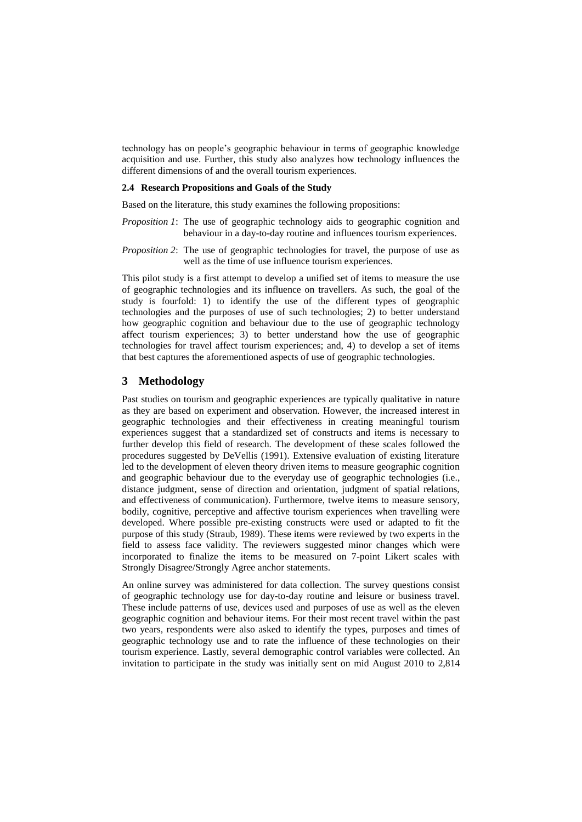technology has on people"s geographic behaviour in terms of geographic knowledge acquisition and use. Further, this study also analyzes how technology influences the different dimensions of and the overall tourism experiences.

#### **2.4 Research Propositions and Goals of the Study**

Based on the literature, this study examines the following propositions:

- *Proposition 1*: The use of geographic technology aids to geographic cognition and behaviour in a day-to-day routine and influences tourism experiences.
- *Proposition 2*: The use of geographic technologies for travel, the purpose of use as well as the time of use influence tourism experiences.

This pilot study is a first attempt to develop a unified set of items to measure the use of geographic technologies and its influence on travellers. As such, the goal of the study is fourfold: 1) to identify the use of the different types of geographic technologies and the purposes of use of such technologies; 2) to better understand how geographic cognition and behaviour due to the use of geographic technology affect tourism experiences; 3) to better understand how the use of geographic technologies for travel affect tourism experiences; and, 4) to develop a set of items that best captures the aforementioned aspects of use of geographic technologies.

# **3 Methodology**

Past studies on tourism and geographic experiences are typically qualitative in nature as they are based on experiment and observation. However, the increased interest in geographic technologies and their effectiveness in creating meaningful tourism experiences suggest that a standardized set of constructs and items is necessary to further develop this field of research. The development of these scales followed the procedures suggested by DeVellis (1991). Extensive evaluation of existing literature led to the development of eleven theory driven items to measure geographic cognition and geographic behaviour due to the everyday use of geographic technologies (i.e., distance judgment, sense of direction and orientation, judgment of spatial relations, and effectiveness of communication). Furthermore, twelve items to measure sensory, bodily, cognitive, perceptive and affective tourism experiences when travelling were developed. Where possible pre-existing constructs were used or adapted to fit the purpose of this study (Straub, 1989). These items were reviewed by two experts in the field to assess face validity. The reviewers suggested minor changes which were incorporated to finalize the items to be measured on 7-point Likert scales with Strongly Disagree/Strongly Agree anchor statements.

An online survey was administered for data collection. The survey questions consist of geographic technology use for day-to-day routine and leisure or business travel. These include patterns of use, devices used and purposes of use as well as the eleven geographic cognition and behaviour items. For their most recent travel within the past two years, respondents were also asked to identify the types, purposes and times of geographic technology use and to rate the influence of these technologies on their tourism experience. Lastly, several demographic control variables were collected. An invitation to participate in the study was initially sent on mid August 2010 to 2,814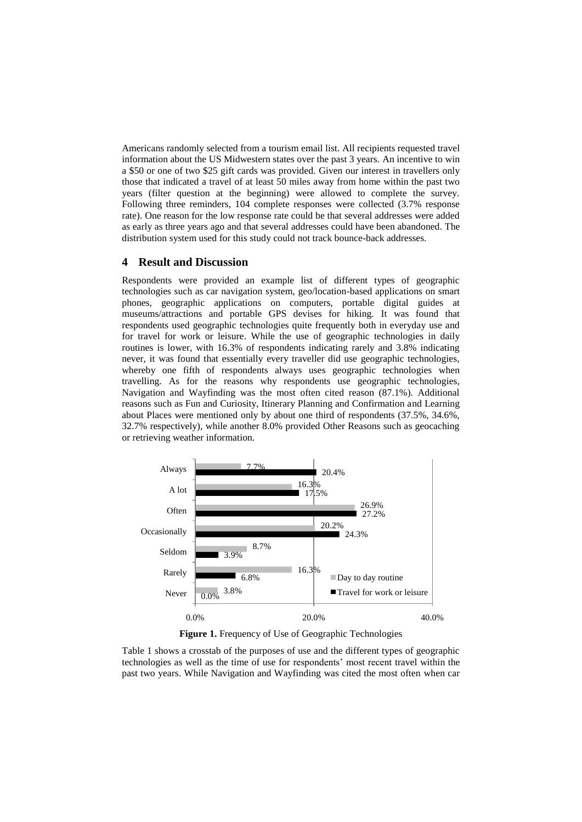Americans randomly selected from a tourism email list. All recipients requested travel information about the US Midwestern states over the past 3 years. An incentive to win a \$50 or one of two \$25 gift cards was provided. Given our interest in travellers only those that indicated a travel of at least 50 miles away from home within the past two years (filter question at the beginning) were allowed to complete the survey. Following three reminders, 104 complete responses were collected (3.7% response rate). One reason for the low response rate could be that several addresses were added as early as three years ago and that several addresses could have been abandoned. The distribution system used for this study could not track bounce-back addresses.

## **4 Result and Discussion**

Respondents were provided an example list of different types of geographic technologies such as car navigation system, geo/location-based applications on smart phones, geographic applications on computers, portable digital guides at museums/attractions and portable GPS devises for hiking. It was found that respondents used geographic technologies quite frequently both in everyday use and for travel for work or leisure. While the use of geographic technologies in daily routines is lower, with 16.3% of respondents indicating rarely and 3.8% indicating never, it was found that essentially every traveller did use geographic technologies, whereby one fifth of respondents always uses geographic technologies when travelling. As for the reasons why respondents use geographic technologies, Navigation and Wayfinding was the most often cited reason (87.1%). Additional reasons such as Fun and Curiosity, Itinerary Planning and Confirmation and Learning about Places were mentioned only by about one third of respondents (37.5%, 34.6%, 32.7% respectively), while another 8.0% provided Other Reasons such as geocaching or retrieving weather information.



**Figure 1.** Frequency of Use of Geographic Technologies

Table 1 shows a crosstab of the purposes of use and the different types of geographic technologies as well as the time of use for respondents" most recent travel within the past two years. While Navigation and Wayfinding was cited the most often when car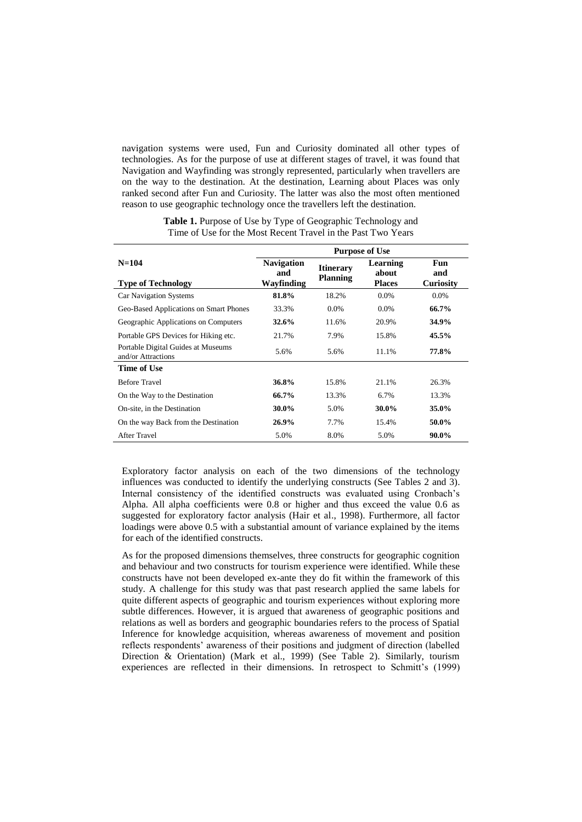navigation systems were used, Fun and Curiosity dominated all other types of technologies. As for the purpose of use at different stages of travel, it was found that Navigation and Wayfinding was strongly represented, particularly when travellers are on the way to the destination. At the destination, Learning about Places was only ranked second after Fun and Curiosity. The latter was also the most often mentioned reason to use geographic technology once the travellers left the destination.

|                                                          | <b>Purpose of Use</b>                  |                                     |                                    |                                |
|----------------------------------------------------------|----------------------------------------|-------------------------------------|------------------------------------|--------------------------------|
| $N = 104$<br><b>Type of Technology</b>                   | <b>Navigation</b><br>and<br>Wayfinding | <b>Itinerary</b><br><b>Planning</b> | Learning<br>about<br><b>Places</b> | Fun<br>and<br><b>Curiosity</b> |
| <b>Car Navigation Systems</b>                            | 81.8%                                  | 18.2%                               | 0.0%                               | $0.0\%$                        |
| Geo-Based Applications on Smart Phones                   | 33.3%                                  | $0.0\%$                             | 0.0%                               | 66.7%                          |
| Geographic Applications on Computers                     | 32.6%                                  | 11.6%                               | 20.9%                              | 34.9%                          |
| Portable GPS Devices for Hiking etc.                     | 21.7%                                  | 7.9%                                | 15.8%                              | 45.5%                          |
| Portable Digital Guides at Museums<br>and/or Attractions | 5.6%                                   | 5.6%                                | 11.1%                              | 77.8%                          |
| <b>Time of Use</b>                                       |                                        |                                     |                                    |                                |
| <b>Before Travel</b>                                     | 36.8%                                  | 15.8%                               | 21.1%                              | 26.3%                          |
| On the Way to the Destination                            | 66.7%                                  | 13.3%                               | 6.7%                               | 13.3%                          |
| On-site, in the Destination                              | 30.0%                                  | 5.0%                                | 30.0%                              | 35.0%                          |
| On the way Back from the Destination                     | 26.9%                                  | 7.7%                                | 15.4%                              | 50.0%                          |
| After Travel                                             | 5.0%                                   | 8.0%                                | 5.0%                               | 90.0%                          |

**Table 1.** Purpose of Use by Type of Geographic Technology and Time of Use for the Most Recent Travel in the Past Two Years

Exploratory factor analysis on each of the two dimensions of the technology influences was conducted to identify the underlying constructs (See Tables 2 and 3). Internal consistency of the identified constructs was evaluated using Cronbach"s Alpha. All alpha coefficients were 0.8 or higher and thus exceed the value 0.6 as suggested for exploratory factor analysis (Hair et al., 1998). Furthermore, all factor loadings were above 0.5 with a substantial amount of variance explained by the items for each of the identified constructs.

As for the proposed dimensions themselves, three constructs for geographic cognition and behaviour and two constructs for tourism experience were identified. While these constructs have not been developed ex-ante they do fit within the framework of this study. A challenge for this study was that past research applied the same labels for quite different aspects of geographic and tourism experiences without exploring more subtle differences. However, it is argued that awareness of geographic positions and relations as well as borders and geographic boundaries refers to the process of Spatial Inference for knowledge acquisition, whereas awareness of movement and position reflects respondents" awareness of their positions and judgment of direction (labelled Direction & Orientation) (Mark et al., 1999) (See Table 2). Similarly, tourism experiences are reflected in their dimensions. In retrospect to Schmitt's (1999)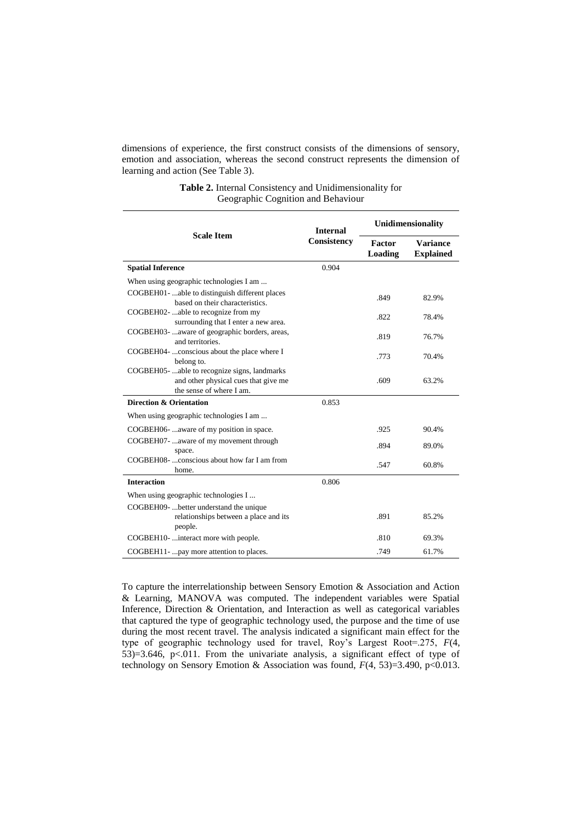dimensions of experience, the first construct consists of the dimensions of sensory, emotion and association, whereas the second construct represents the dimension of learning and action (See Table 3).

|                                                                                                                 | <b>Internal</b><br><b>Consistency</b> | Unidimensionality |                                     |
|-----------------------------------------------------------------------------------------------------------------|---------------------------------------|-------------------|-------------------------------------|
| <b>Scale Item</b>                                                                                               |                                       | Factor<br>Loading | <b>Variance</b><br><b>Explained</b> |
| <b>Spatial Inference</b>                                                                                        | 0.904                                 |                   |                                     |
| When using geographic technologies I am                                                                         |                                       |                   |                                     |
| COGBEH01- able to distinguish different places<br>based on their characteristics.                               |                                       | .849              | 82.9%                               |
| COGBEH02- able to recognize from my<br>surrounding that I enter a new area.                                     |                                       | .822              | 78.4%                               |
| COGBEH03-  aware of geographic borders, areas,<br>and territories.                                              |                                       | .819              | 76.7%                               |
| COGBEH04-  conscious about the place where I<br>belong to.                                                      |                                       | .773              | 70.4%                               |
| COGBEH05-able to recognize signs, landmarks<br>and other physical cues that give me<br>the sense of where I am. |                                       | .609              | 63.2%                               |
| Direction & Orientation                                                                                         | 0.853                                 |                   |                                     |
| When using geographic technologies I am                                                                         |                                       |                   |                                     |
| COGBEH06-  aware of my position in space.                                                                       |                                       | .925              | 90.4%                               |
| COGBEH07-  aware of my movement through<br>space.                                                               |                                       | .894              | 89.0%                               |
| COGBEH08-  conscious about how far I am from<br>home.                                                           |                                       | .547              | 60.8%                               |
| <b>Interaction</b>                                                                                              | 0.806                                 |                   |                                     |
| When using geographic technologies I                                                                            |                                       |                   |                                     |
| COGBEH09-better understand the unique<br>relationships between a place and its<br>people.                       |                                       | .891              | 85.2%                               |
| COGBEH10-  interact more with people.                                                                           |                                       | .810              | 69.3%                               |
| COGBEH11-  pay more attention to places.                                                                        |                                       | .749              | 61.7%                               |

**Table 2.** Internal Consistency and Unidimensionality for Geographic Cognition and Behaviour

To capture the interrelationship between Sensory Emotion & Association and Action & Learning, MANOVA was computed. The independent variables were Spatial Inference, Direction & Orientation, and Interaction as well as categorical variables that captured the type of geographic technology used, the purpose and the time of use during the most recent travel. The analysis indicated a significant main effect for the type of geographic technology used for travel, Roy"s Largest Root=.275, *F*(4, 53)=3.646, p<.011. From the univariate analysis, a significant effect of type of technology on Sensory Emotion & Association was found,  $F(4, 53)=3.490$ ,  $p<0.013$ .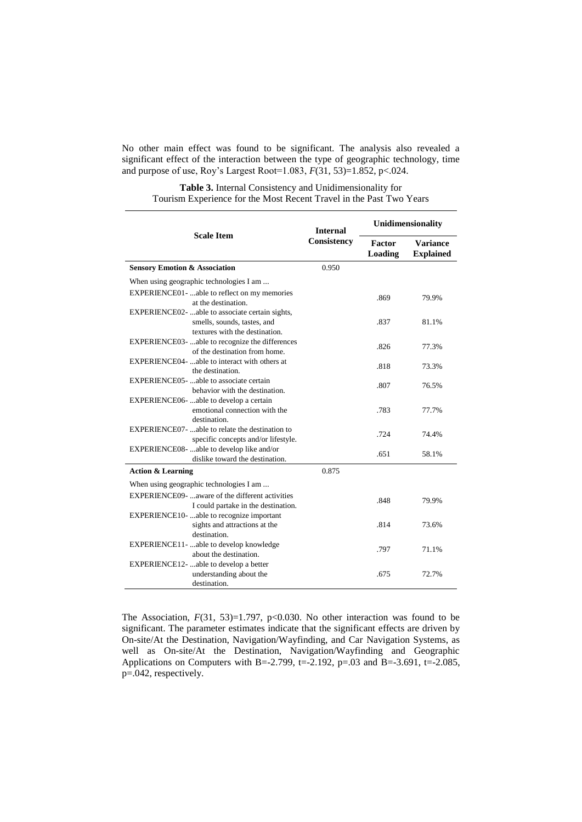No other main effect was found to be significant. The analysis also revealed a significant effect of the interaction between the type of geographic technology, time and purpose of use, Roy's Largest Root=1.083, *F*(31, 53)=1.852, p <.024.

|                                                                                                                  | <b>Internal</b><br>Consistency | Unidimensionality |                              |
|------------------------------------------------------------------------------------------------------------------|--------------------------------|-------------------|------------------------------|
| <b>Scale Item</b>                                                                                                |                                | Factor<br>Loading | Variance<br><b>Explained</b> |
| <b>Sensory Emotion &amp; Association</b>                                                                         | 0.950                          |                   |                              |
| When using geographic technologies I am                                                                          |                                |                   |                              |
| EXPERIENCE01- able to reflect on my memories<br>at the destination.                                              |                                | .869              | 79.9%                        |
| EXPERIENCE02- able to associate certain sights,<br>smells, sounds, tastes, and<br>textures with the destination. |                                | .837              | 81.1%                        |
| EXPERIENCE03- able to recognize the differences<br>of the destination from home.                                 |                                | .826              | 77.3%                        |
| EXPERIENCE04- able to interact with others at<br>the destination.                                                |                                | .818              | 73.3%                        |
| EXPERIENCE05- able to associate certain<br>behavior with the destination.                                        |                                | .807              | 76.5%                        |
| EXPERIENCE06- able to develop a certain<br>emotional connection with the<br>destination.                         |                                | .783              | 77.7%                        |
| EXPERIENCE07- able to relate the destination to<br>specific concepts and/or lifestyle.                           |                                | .724              | 74.4%                        |
| EXPERIENCE08- able to develop like and/or<br>dislike toward the destination.                                     |                                | .651              | 58.1%                        |
| <b>Action &amp; Learning</b>                                                                                     | 0.875                          |                   |                              |
| When using geographic technologies I am                                                                          |                                |                   |                              |
| EXPERIENCE09-  aware of the different activities<br>I could partake in the destination.                          |                                | .848              | 79.9%                        |
| EXPERIENCE10- able to recognize important<br>sights and attractions at the                                       |                                | .814              | 73.6%                        |
| destination.<br>EXPERIENCE11- able to develop knowledge<br>about the destination.                                |                                | .797              | 71.1%                        |
| EXPERIENCE12- able to develop a better<br>understanding about the<br>destination.                                |                                | .675              | 72.7%                        |
|                                                                                                                  |                                |                   |                              |

**Table 3.** Internal Consistency and Unidimensionality for Tourism Experience for the Most Recent Travel in the Past Two Years

The Association,  $F(31, 53)=1.797$ ,  $p<0.030$ . No other interaction was found to be significant. The parameter estimates indicate that the significant effects are driven by On-site/At the Destination, Navigation/Wayfinding, and Car Navigation Systems, as well as On-site/At the Destination, Navigation/Wayfinding and Geographic Applications on Computers with B=-2.799, t=-2.192, p=.03 and B=-3.691, t=-2.085, p=.042, respectively.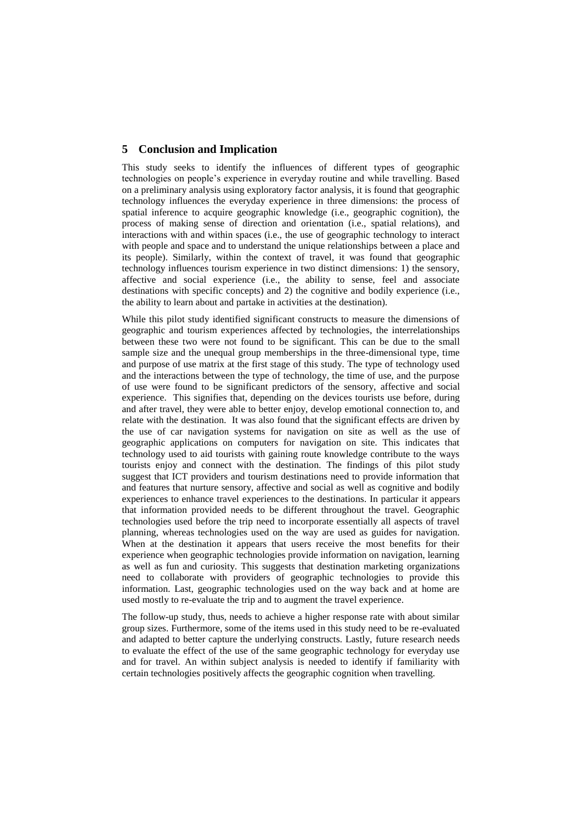# **5 Conclusion and Implication**

This study seeks to identify the influences of different types of geographic technologies on people"s experience in everyday routine and while travelling. Based on a preliminary analysis using exploratory factor analysis, it is found that geographic technology influences the everyday experience in three dimensions: the process of spatial inference to acquire geographic knowledge (i.e., geographic cognition), the process of making sense of direction and orientation (i.e., spatial relations), and interactions with and within spaces (i.e., the use of geographic technology to interact with people and space and to understand the unique relationships between a place and its people). Similarly, within the context of travel, it was found that geographic technology influences tourism experience in two distinct dimensions: 1) the sensory, affective and social experience (i.e., the ability to sense, feel and associate destinations with specific concepts) and 2) the cognitive and bodily experience (i.e., the ability to learn about and partake in activities at the destination).

While this pilot study identified significant constructs to measure the dimensions of geographic and tourism experiences affected by technologies, the interrelationships between these two were not found to be significant. This can be due to the small sample size and the unequal group memberships in the three-dimensional type, time and purpose of use matrix at the first stage of this study. The type of technology used and the interactions between the type of technology, the time of use, and the purpose of use were found to be significant predictors of the sensory, affective and social experience. This signifies that, depending on the devices tourists use before, during and after travel, they were able to better enjoy, develop emotional connection to, and relate with the destination. It was also found that the significant effects are driven by the use of car navigation systems for navigation on site as well as the use of geographic applications on computers for navigation on site. This indicates that technology used to aid tourists with gaining route knowledge contribute to the ways tourists enjoy and connect with the destination. The findings of this pilot study suggest that ICT providers and tourism destinations need to provide information that and features that nurture sensory, affective and social as well as cognitive and bodily experiences to enhance travel experiences to the destinations. In particular it appears that information provided needs to be different throughout the travel. Geographic technologies used before the trip need to incorporate essentially all aspects of travel planning, whereas technologies used on the way are used as guides for navigation. When at the destination it appears that users receive the most benefits for their experience when geographic technologies provide information on navigation, learning as well as fun and curiosity. This suggests that destination marketing organizations need to collaborate with providers of geographic technologies to provide this information. Last, geographic technologies used on the way back and at home are used mostly to re-evaluate the trip and to augment the travel experience.

The follow-up study, thus, needs to achieve a higher response rate with about similar group sizes. Furthermore, some of the items used in this study need to be re-evaluated and adapted to better capture the underlying constructs. Lastly, future research needs to evaluate the effect of the use of the same geographic technology for everyday use and for travel. An within subject analysis is needed to identify if familiarity with certain technologies positively affects the geographic cognition when travelling.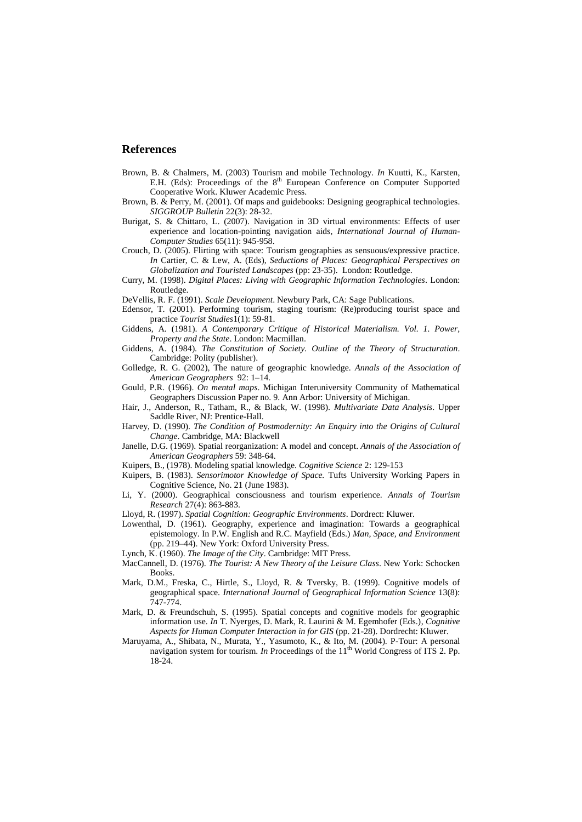#### **References**

- Brown, B. & Chalmers, M. (2003) Tourism and mobile Technology. *In* Kuutti, K., Karsten, E.H. (Eds): Proceedings of the 8<sup>th</sup> European Conference on Computer Supported Cooperative Work. Kluwer Academic Press.
- Brown, B. & Perry, M. (2001). Of maps and guidebooks: Designing geographical technologies. *SIGGROUP Bulletin* 22(3): 28-32.
- Burigat, S. & Chittaro, L. (2007). Navigation in 3D virtual environments: Effects of user experience and location-pointing navigation aids, *International Journal of Human-Computer Studies* 65(11): 945-958.
- Crouch, D. (2005). Flirting with space: Tourism geographies as sensuous/expressive practice. *In* Cartier, C. & Lew, A. (Eds), *Seductions of Places: Geographical Perspectives on Globalization and Touristed Landscapes* (pp: 23-35). London: Routledge.
- Curry, M. (1998). *Digital Places: Living with Geographic Information Technologies*. London: Routledge.
- DeVellis, R. F. (1991). *Scale Development*. Newbury Park, CA: Sage Publications.
- Edensor, T. (2001). Performing tourism, staging tourism: (Re)producing tourist space and practice *Tourist Studies*1(1): 59-81.
- Giddens, A. (1981). *A Contemporary Critique of Historical Materialism. Vol. 1. Power, Property and the State*. London: Macmillan.
- Giddens, A. (1984). *The Constitution of Society. Outline of the Theory of Structuration*. Cambridge: Polity (publisher).
- Golledge, R. G. (2002), The nature of geographic knowledge. *Annals of the Association of American Geographers* 92: 1–14.
- Gould, P.R. (1966). *On mental maps*. Michigan Interuniversity Community of Mathematical Geographers Discussion Paper no. 9. Ann Arbor: University of Michigan.
- Hair, J., Anderson, R., Tatham, R., & Black, W. (1998). *Multivariate Data Analysis*. Upper Saddle River, NJ: Prentice-Hall.
- Harvey, D. (1990). *The Condition of Postmodernity: An Enquiry into the Origins of Cultural Change*. Cambridge, MA: Blackwell
- Janelle, D.G. (1969). Spatial reorganization: A model and concept. *Annals of the Association of American Geographers* 59: 348-64.
- Kuipers, B., (1978). Modeling spatial knowledge. *Cognitive Science* 2: 129-153
- Kuipers, B. (1983). *Sensorimotor Knowledge of Space.* Tufts University Working Papers in Cognitive Science, No. 21 (June 1983).
- Li, Y. (2000). Geographical consciousness and tourism experience. *Annals of Tourism Research* 27(4): 863-883.
- Lloyd, R. (1997). *Spatial Cognition: Geographic Environments*. Dordrect: Kluwer.
- Lowenthal, D. (1961). Geography, experience and imagination: Towards a geographical epistemology. In P.W. English and R.C. Mayfield (Eds.) *Man, Space, and Environment* (pp. 219–44). New York: Oxford University Press.
- Lynch, K. (1960). *The Image of the City*. Cambridge: MIT Press.
- MacCannell, D. (1976). *The Tourist: A New Theory of the Leisure Class*. New York: Schocken Books.
- Mark, D.M., Freska, C., Hirtle, S., Lloyd, R. & Tversky, B. (1999). Cognitive models of geographical space. *International Journal of Geographical Information Science* 13(8): 747-774.
- Mark, D. & Freundschuh, S. (1995). Spatial concepts and cognitive models for geographic information use. *In* T. Nyerges, D. Mark, R. Laurini & M. Egemhofer (Eds.), *Cognitive Aspects for Human Computer Interaction in for GIS* (pp. 21-28). Dordrecht: Kluwer.
- Maruyama, A., Shibata, N., Murata, Y., Yasumoto, K., & Ito, M. (2004). P-Tour: A personal navigation system for tourism. *In* Proceedings of the 11<sup>th</sup> World Congress of ITS 2. Pp. 18-24.